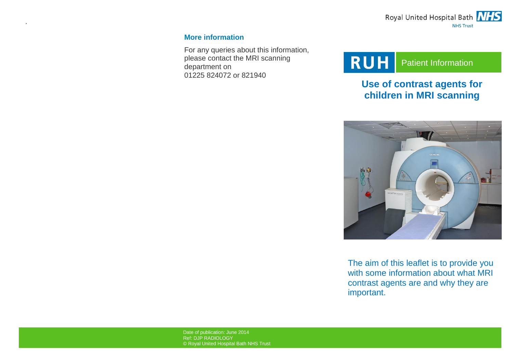

### **More information**

.

For any queries about this information, please contact the MRI scanning department on 01225 824072 or 821940

# **RUH** Patient Information

# **Use of contrast agents for children in MRI scanning**



The aim of this leaflet is to provide you with some information about what MRI contrast agents are and why they are important.

Date of publication: June 2014 Ref: DJP RADIOLOGY © Royal United Hospital Bath NHS Trust